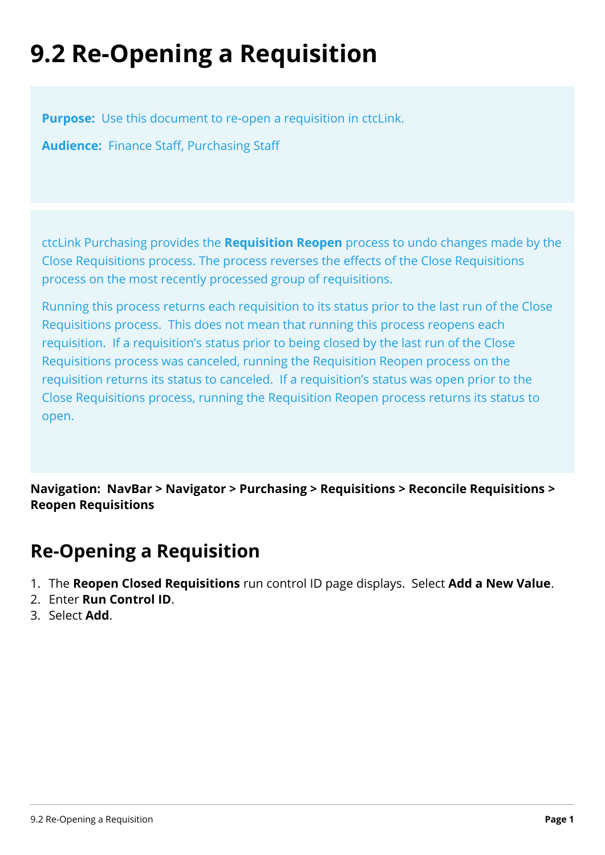## **9.2 Re-Opening a Requisition**

**Purpose:** Use this document to re-open a requisition in ctcLink.

**Audience:** Finance Staff, Purchasing Staff

ctcLink Purchasing provides the **Requisition Reopen** process to undo changes made by the Close Requisitions process. The process reverses the effects of the Close Requisitions process on the most recently processed group of requisitions.

Running this process returns each requisition to its status prior to the last run of the Close Requisitions process. This does not mean that running this process reopens each requisition. If a requisition's status prior to being closed by the last run of the Close Requisitions process was canceled, running the Requisition Reopen process on the requisition returns its status to canceled. If a requisition's status was open prior to the Close Requisitions process, running the Requisition Reopen process returns its status to open.

**Navigation: NavBar > Navigator > Purchasing > Requisitions > Reconcile Requisitions > Reopen Requisitions** 

## **Re-Opening a Requisition**

- 1. The **Reopen Closed Requisitions** run control ID page displays. Select **Add a New Value**.
- 2. Enter **Run Control ID**.
- 3. Select **Add**.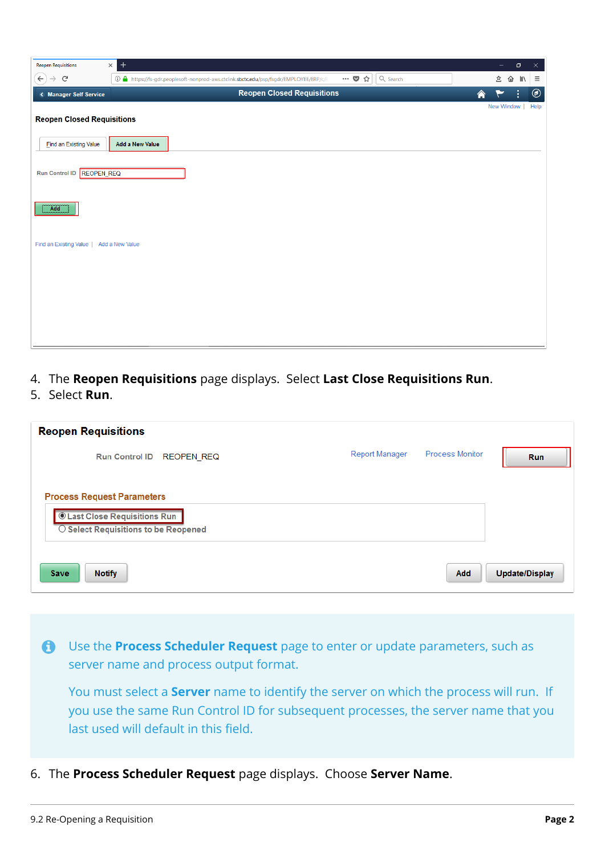| <b>Reopen Requisitions</b>                     | $\ddot{}$<br>$\times$                                                                                                                                                                                                                |   | σ<br>-     | $\times$          |
|------------------------------------------------|--------------------------------------------------------------------------------------------------------------------------------------------------------------------------------------------------------------------------------------|---|------------|-------------------|
| $\left( \leftarrow \right)$<br>$\rightarrow$ G | Q Search<br>$\cdots \; \colorbox{red}{\blacktriangledown} \; \colorbox{red}{\LARGE\vartriangle} \; \colorbox{red}{\cdots}$<br><b>① △</b> https://fs-gdr.peoplesoft-nonprod-aws.ctclink. <b>sbctc.edu/</b> psp/fsgdr/EMPLOYEE/ERP/c/R |   | 宐<br>企 叭   | $\equiv$          |
| < Manager Self Service                         | <b>Reopen Closed Requisitions</b>                                                                                                                                                                                                    | 合 | ÷          | $\circledcirc$    |
|                                                |                                                                                                                                                                                                                                      |   | New Window | Help <sup>-</sup> |
| <b>Reopen Closed Requisitions</b>              |                                                                                                                                                                                                                                      |   |            |                   |
| <b>Find an Existing Value</b>                  | <b>Add a New Value</b>                                                                                                                                                                                                               |   |            |                   |
| Run Control ID REOPEN_REQ                      |                                                                                                                                                                                                                                      |   |            |                   |
| Add                                            |                                                                                                                                                                                                                                      |   |            |                   |
| Find an Existing Value                         | Add a New Value                                                                                                                                                                                                                      |   |            |                   |
|                                                |                                                                                                                                                                                                                                      |   |            |                   |
|                                                |                                                                                                                                                                                                                                      |   |            |                   |
|                                                |                                                                                                                                                                                                                                      |   |            |                   |
|                                                |                                                                                                                                                                                                                                      |   |            |                   |
|                                                |                                                                                                                                                                                                                                      |   |            |                   |

- 4. The **Reopen Requisitions** page displays. Select **Last Close Requisitions Run**.
- 5. Select **Run**.

| <b>Reopen Requisitions</b>                 |                       |                        |                |
|--------------------------------------------|-----------------------|------------------------|----------------|
| <b>REOPEN REQ</b><br><b>Run Control ID</b> | <b>Report Manager</b> | <b>Process Monitor</b> | <b>Run</b>     |
|                                            |                       |                        |                |
| <b>Process Request Parameters</b>          |                       |                        |                |
| <b>Cast Close Requisitions Run</b>         |                       |                        |                |
| ○ Select Requisitions to be Reopened       |                       |                        |                |
|                                            |                       |                        |                |
| <b>Save</b><br><b>Notify</b>               |                       | <b>Add</b>             | Update/Display |

 Use the **Process Scheduler Request** page to enter or update parameters, such as server name and process output format.

You must select a **Server** name to identify the server on which the process will run. If you use the same Run Control ID for subsequent processes, the server name that you last used will default in this field.

6. The **Process Scheduler Request** page displays. Choose **Server Name**.